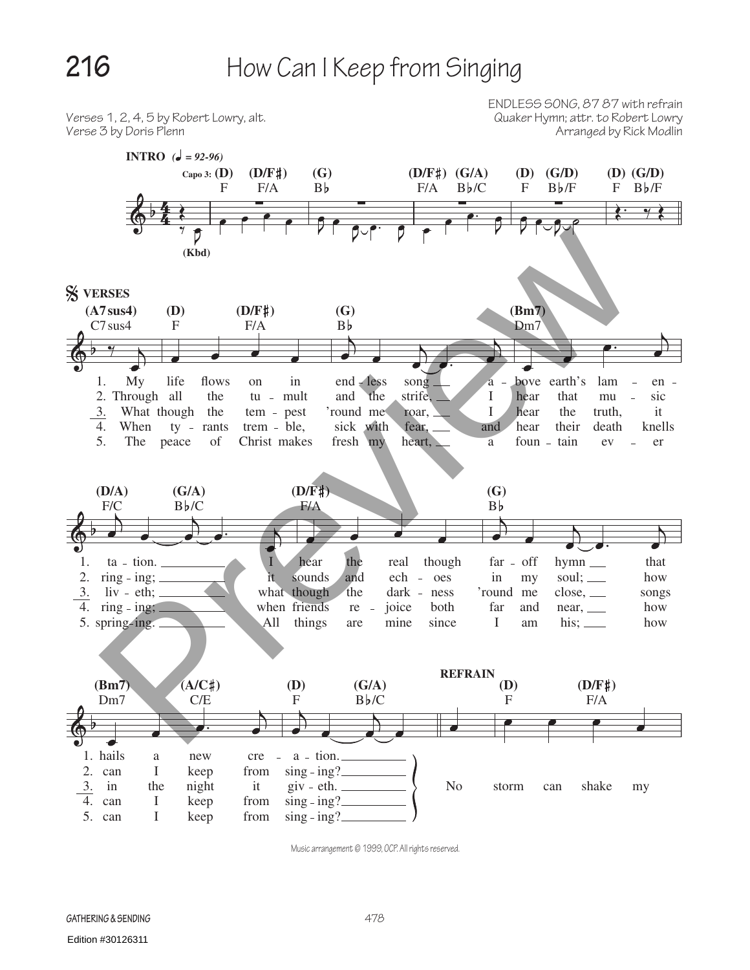

Music arrangement © 1999, OCP. All rights reserved.